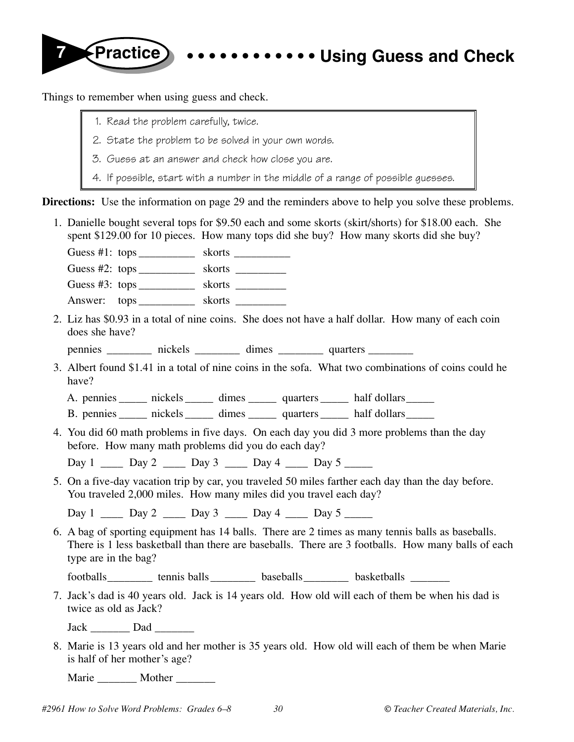

Things to remember when using guess and check.

- 1. Read the problem carefully, twice.
- 2. State the problem to be solved in your own words.
- 3. Guess at an answer and check how close you are.
- 4. If possible, start with a number in the middle of a range of possible guesses.

**Directions:** Use the information on page 29 and the reminders above to help you solve these problems.

1. Danielle bought several tops for \$9.50 each and some skorts (skirt/shorts) for \$18.00 each. She spent \$129.00 for 10 pieces. How many tops did she buy? How many skorts did she buy? Guess #1: tops \_\_\_\_\_\_\_\_\_\_ skorts \_\_\_\_\_\_\_\_\_\_ Guess #2: tops \_\_\_\_\_\_\_\_\_\_ skorts \_\_\_\_\_\_\_\_\_ Guess #3: tops \_\_\_\_\_\_\_\_\_\_\_ skorts \_\_\_\_\_\_\_\_\_ Answer: tops \_\_\_\_\_\_\_\_\_ skorts \_\_\_\_\_\_\_\_\_ 2. Liz has \$0.93 in a total of nine coins. She does not have a half dollar. How many of each coin does she have? pennies \_\_\_\_\_\_\_\_\_ nickels \_\_\_\_\_\_\_\_ dimes \_\_\_\_\_\_\_\_\_ quarters \_\_\_\_\_\_\_\_\_ 3. Albert found \$1.41 in a total of nine coins in the sofa. What two combinations of coins could he have? A. pennies \_\_\_\_\_\_ nickels \_\_\_\_\_\_ dimes \_\_\_\_\_\_ quarters \_\_\_\_\_\_ half dollars \_\_\_\_\_ B. pennies buickels dimes quarters half dollars 4. You did 60 math problems in five days. On each day you did 3 more problems than the day before. How many math problems did you do each day? Day 1 \_\_\_\_ Day 2 \_\_\_\_ Day 3 \_\_\_\_ Day 4 \_\_\_\_ Day 5 \_\_\_\_\_ 5. On a five-day vacation trip by car, you traveled 50 miles farther each day than the day before. You traveled 2,000 miles. How many miles did you travel each day? Day 1 \_\_\_\_\_ Day 2 \_\_\_\_\_ Day 3 \_\_\_\_\_ Day 4 \_\_\_\_\_ Day 5 6. A bag of sporting equipment has 14 balls. There are 2 times as many tennis balls as baseballs. There is 1 less basketball than there are baseballs. There are 3 footballs. How many balls of each type are in the bag? footballs\_\_\_\_\_\_\_\_\_ tennis balls\_\_\_\_\_\_\_\_\_ baseballs \_\_\_\_\_\_\_\_ basketballs \_\_\_\_\_\_\_ 7. Jack's dad is 40 years old. Jack is 14 years old. How old will each of them be when his dad is twice as old as Jack? Jack Dad 8. Marie is 13 years old and her mother is 35 years old. How old will each of them be when Marie is half of her mother's age?

Marie \_\_\_\_\_\_\_\_ Mother \_\_\_\_\_\_\_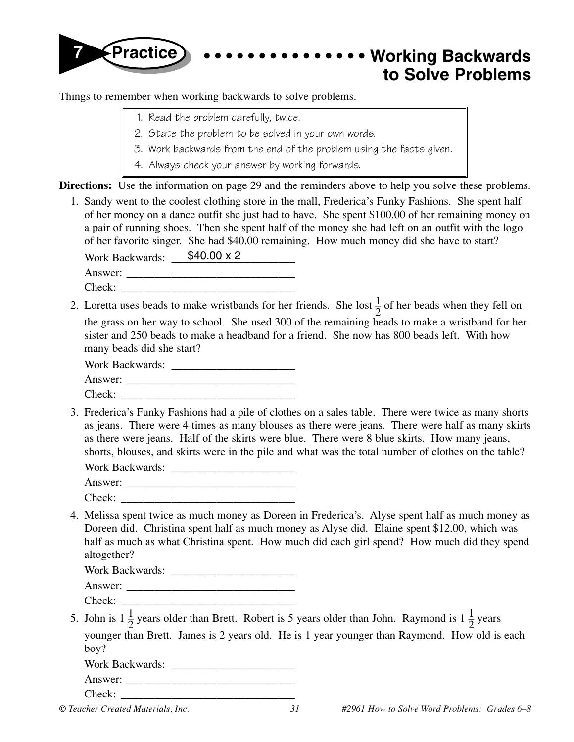

Things to remember when working backwards to solve problems.

- 1. Read the problem carefully, twice.
- 2. State the problem to be solved in your own words.
- 3. Work backwards from the end of the problem using the facts given.
- 4. Always check your answer by working forwards.

**Directions:** Use the information on page 29 and the reminders above to help you solve these problems.

Work Backwards: \_\_\_\_\_\$40.00 x 2 1. Sandy went to the coolest clothing store in the mall, Frederica's Funky Fashions. She spent half of her money on a dance outfit she just had to have. She spent \$100.00 of her remaining money on a pair of running shoes. Then she spent half of the money she had left on an outfit with the logo of her favorite singer. She had \$40.00 remaining. How much money did she have to start?

Answer:

- $Check:$
- 2. Loretta uses beads to make wristbands for her friends. She lost  $\frac{1}{2}$  of her beads when they fell on the grass on her way to school. She used 300 of the remaining beads to make a wristband for her sister and 250 beads to make a headband for a friend. She now has 800 beads left. With how many beads did she start?

Work Backwards: \_\_\_\_\_\_\_\_\_\_\_\_\_\_\_\_\_\_\_\_\_\_

- Answer:
- Check:
- 3. Frederica's Funky Fashions had a pile of clothes on a sales table. There were twice as many shorts as jeans. There were 4 times as many blouses as there were jeans. There were half as many skirts as there were jeans. Half of the skirts were blue. There were 8 blue skirts. How many jeans, shorts, blouses, and skirts were in the pile and what was the total number of clothes on the table?

| Work Backwards: |  |
|-----------------|--|
| Answer:         |  |
| Check:          |  |

4. Melissa spent twice as much money as Doreen in Frederica's. Alyse spent half as much money as Doreen did. Christina spent half as much money as Alyse did. Elaine spent \$12.00, which was half as much as what Christina spent. How much did each girl spend? How much did they spend altogether?

Work Backwards: \_\_\_\_\_\_\_\_\_\_\_\_\_\_\_\_\_\_\_\_\_\_

Answer: \_\_\_\_\_\_\_\_\_\_\_\_\_\_\_\_\_\_\_\_\_\_\_\_\_\_\_\_\_\_

Check: \_\_\_\_\_\_\_\_\_\_\_\_\_\_\_\_\_\_\_\_\_\_\_\_\_\_\_\_\_\_\_

5. John is  $1\frac{1}{2}$  years older than Brett. Robert is 5 years older than John. Raymond is  $1\frac{1}{2}$  years younger than Brett. James is 2 years old. He is 1 year younger than Raymond. How old is each boy?

| Work Backwards: |  |
|-----------------|--|
|                 |  |

Answer: Check: